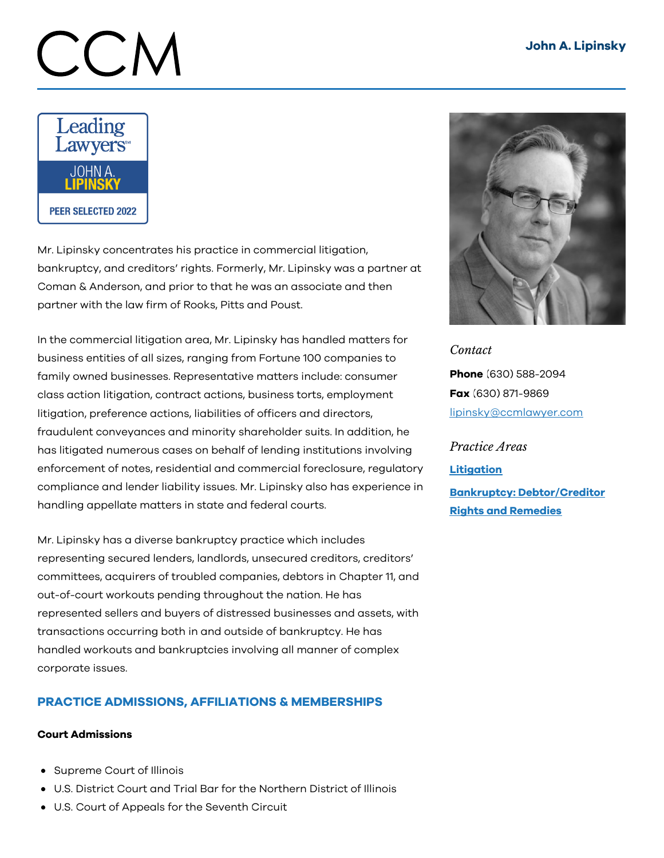# CCN



Mr. Lipinsky concentrates his practice in commercial litigation, bankruptcy, and creditors' rights. Formerly, Mr. Lipinsky was a partner at Coman & Anderson, and prior to that he was an associate and then partner with the law firm of Rooks, Pitts and Poust.

In the commercial litigation area, Mr. Lipinsky has handled matters for business entities of all sizes, ranging from Fortune 100 companies to family owned businesses. Representative matters include: consumer class action litigation, contract actions, business torts, employment litigation, preference actions, liabilities of officers and directors, fraudulent conveyances and minority shareholder suits. In addition, he has litigated numerous cases on behalf of lending institutions involving enforcement of notes, residential and commercial foreclosure, regulatory compliance and lender liability issues. Mr. Lipinsky also has experience in handling appellate matters in state and federal courts.

Mr. Lipinsky has a diverse bankruptcy practice which includes representing secured lenders, landlords, unsecured creditors, creditors' committees, acquirers of troubled companies, debtors in Chapter 11, and out-of-court workouts pending throughout the nation. He has represented sellers and buyers of distressed businesses and assets, with transactions occurring both in and outside of bankruptcy. He has handled workouts and bankruptcies involving all manner of complex corporate issues.

# PRACTICE ADMISSIONS, AFFILIATIONS & MEMBERSHIPS

## Court Admissions

- Supreme Court of Illinois
- U.S. District Court and Trial Bar for the Northern District of Illinois
- U.S. Court of Appeals for the Seventh Circuit



*Contact* Phone (630) 588-2094 Fax (630) 871-9869 [lipinsky@ccmlawyer.com](mailto:lipinsky@ccmlawyer.com)

*Practice Areas* **[Litigation](https://www.ccmlawyer.com/practice-areas/litigation/)** Bankruptcy: [Debtor/Creditor](https://www.ccmlawyer.com/practice-areas/bankruptcy-debtor-and-creditor-rights-and-remedies/) Rights and Remedies